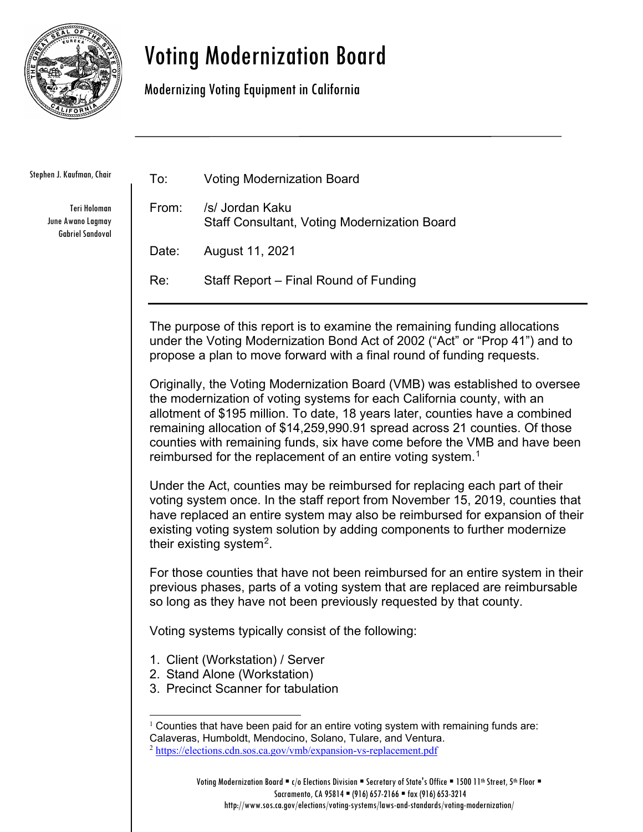

## Voting Modernization Board

Modernizing Voting Equipment in California

Stephen J. Kaufman, Chair

<span id="page-0-1"></span><span id="page-0-0"></span>Teri Holoman June Awano Lagmay Gabriel Sandoval

| To:                                                                                                                                                                                                                                                                                                                                                                                                                                                                            | <b>Voting Modernization Board</b>                                      |
|--------------------------------------------------------------------------------------------------------------------------------------------------------------------------------------------------------------------------------------------------------------------------------------------------------------------------------------------------------------------------------------------------------------------------------------------------------------------------------|------------------------------------------------------------------------|
| From:                                                                                                                                                                                                                                                                                                                                                                                                                                                                          | /s/ Jordan Kaku<br><b>Staff Consultant, Voting Modernization Board</b> |
| Date:                                                                                                                                                                                                                                                                                                                                                                                                                                                                          | August 11, 2021                                                        |
| Re:                                                                                                                                                                                                                                                                                                                                                                                                                                                                            | Staff Report – Final Round of Funding                                  |
| The purpose of this report is to examine the remaining funding allocations<br>under the Voting Modernization Bond Act of 2002 ("Act" or "Prop 41") and to<br>propose a plan to move forward with a final round of funding requests.                                                                                                                                                                                                                                            |                                                                        |
| Originally, the Voting Modernization Board (VMB) was established to oversee<br>the modernization of voting systems for each California county, with an<br>allotment of \$195 million. To date, 18 years later, counties have a combined<br>remaining allocation of \$14,259,990.91 spread across 21 counties. Of those<br>counties with remaining funds, six have come before the VMB and have been<br>reimbursed for the replacement of an entire voting system. <sup>1</sup> |                                                                        |
| Under the Act, counties may be reimbursed for replacing each part of their<br>voting system once. In the staff report from November 15, 2019, counties that<br>have replaced an entire system may also be reimbursed for expansion of their<br>existing voting system solution by adding components to further modernize<br>their existing system <sup>2</sup> .                                                                                                               |                                                                        |
| For those counties that have not been reimbursed for an entire system in their<br>previous phases, parts of a voting system that are replaced are reimbursable<br>so long as they have not been previously requested by that county.                                                                                                                                                                                                                                           |                                                                        |
| Voting systems typically consist of the following:                                                                                                                                                                                                                                                                                                                                                                                                                             |                                                                        |
| 1. Client (Workstation) / Server<br>2. Stand Alone (Workstation)<br>3. Precinct Scanner for tabulation                                                                                                                                                                                                                                                                                                                                                                         |                                                                        |
| $1$ Counties that have been paid for an entire voting system with remaining funds are:<br>Calaveras, Humboldt, Mendocino, Solano, Tulare, and Ventura.<br><sup>2</sup> https://elections.cdn.sos.ca.gov/vmb/expansion-vs-replacement.pdf                                                                                                                                                                                                                                       |                                                                        |